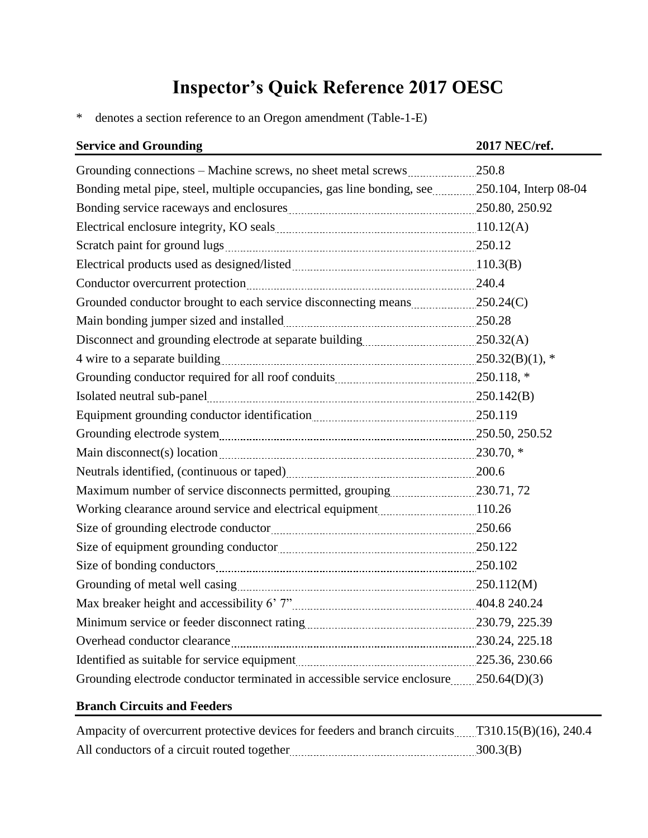## **Inspector's Quick Reference 2017 OESC**

\* denotes a section reference to an Oregon amendment (Table-1-E)

| <b>Service and Grounding</b>                                                                                                                                                                                                  | 2017 NEC/ref. |
|-------------------------------------------------------------------------------------------------------------------------------------------------------------------------------------------------------------------------------|---------------|
| Grounding connections – Machine screws, no sheet metal screws 250.8                                                                                                                                                           |               |
| Bonding metal pipe, steel, multiple occupancies, gas line bonding, see 250.104, Interp 08-04                                                                                                                                  |               |
| Bonding service raceways and enclosures <b>manufactures</b> 250.80, 250.92                                                                                                                                                    |               |
|                                                                                                                                                                                                                               |               |
|                                                                                                                                                                                                                               |               |
| Electrical products used as designed/listed manufactured and all 10.3(B)                                                                                                                                                      |               |
| Conductor overcurrent protection manuscrime contractor and 240.4                                                                                                                                                              |               |
|                                                                                                                                                                                                                               |               |
| Main bonding jumper sized and installed Main Main 250.28                                                                                                                                                                      |               |
|                                                                                                                                                                                                                               |               |
|                                                                                                                                                                                                                               |               |
|                                                                                                                                                                                                                               |               |
|                                                                                                                                                                                                                               |               |
| Equipment grounding conductor identification manuscriman manuscript 250.119                                                                                                                                                   |               |
| Grounding electrode system manual contract and the contract of the system manual contract and the contract of the contract of the contract of the contract of the contract of the contract of the contract of the contract of |               |
|                                                                                                                                                                                                                               |               |
| Neutrals identified, (continuous or taped) 200.6                                                                                                                                                                              |               |
|                                                                                                                                                                                                                               |               |
| Working clearance around service and electrical equipment 110.26                                                                                                                                                              |               |
| Size of grounding electrode conductor 250.66                                                                                                                                                                                  |               |
| Size of equipment grounding conductor manuscription and the 250.122                                                                                                                                                           |               |
|                                                                                                                                                                                                                               |               |
| Grounding of metal well casing manual contract and the 250.112(M)                                                                                                                                                             |               |
|                                                                                                                                                                                                                               |               |
|                                                                                                                                                                                                                               |               |
| Overhead conductor clearance material conductor clearance and all contracts and all conductor clearance materials and $230.24$ , $225.18$                                                                                     |               |
| Identified as suitable for service equipment 225.36, 230.66                                                                                                                                                                   |               |
| Grounding electrode conductor terminated in accessible service enclosure250.64(D)(3)                                                                                                                                          |               |

## **Branch Circuits and Feeders**

| Ampacity of overcurrent protective devices for feeders and branch circuits T310.15(B)(16), 240.4 |          |
|--------------------------------------------------------------------------------------------------|----------|
| All conductors of a circuit routed together                                                      | 300.3(B) |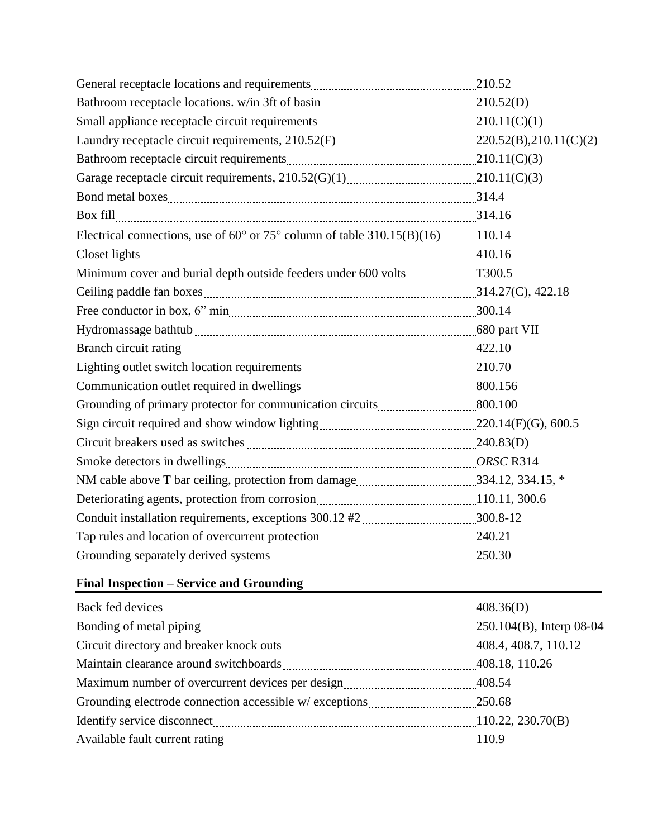| Bathroom receptacle locations. w/in 3ft of basin [11] [210.52(D) [210.52(D)]                       |  |
|----------------------------------------------------------------------------------------------------|--|
|                                                                                                    |  |
|                                                                                                    |  |
|                                                                                                    |  |
|                                                                                                    |  |
|                                                                                                    |  |
|                                                                                                    |  |
| Electrical connections, use of $60^{\circ}$ or $75^{\circ}$ column of table $310.15(B)(16)$ 110.14 |  |
|                                                                                                    |  |
| Minimum cover and burial depth outside feeders under 600 volts T300.5                              |  |
|                                                                                                    |  |
|                                                                                                    |  |
|                                                                                                    |  |
|                                                                                                    |  |
| Lighting outlet switch location requirements [11, 210.70] 210.70                                   |  |
|                                                                                                    |  |
|                                                                                                    |  |
|                                                                                                    |  |
| Circuit breakers used as switches manual contract and the 240.83(D)                                |  |
|                                                                                                    |  |
| NM cable above T bar ceiling, protection from damage 2000 2000 2000 334.12, 334.15, *              |  |
|                                                                                                    |  |
|                                                                                                    |  |
| Tap rules and location of overcurrent protection manuscriman 240.21                                |  |
|                                                                                                    |  |

## **Final Inspection – Service and Grounding**

|                                                                                  | 408.36(D)                |
|----------------------------------------------------------------------------------|--------------------------|
|                                                                                  | 250.104(B), Interp 08-04 |
| Circuit directory and breaker knock outs <b>Manufarity 108.4</b> , 408.7, 110.12 |                          |
|                                                                                  |                          |
|                                                                                  | 408.54                   |
| Grounding electrode connection accessible w/ exceptions 250.68                   |                          |
|                                                                                  |                          |
|                                                                                  |                          |